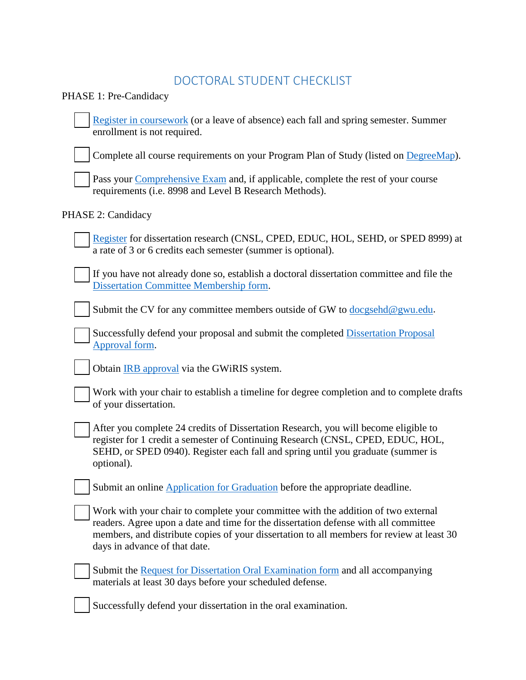## DOCTORAL STUDENT CHECKLIST

PHASE 1: Pre-Candidacy

 [Register in coursework](https://registrar.gwu.edu/how-register-0) (or a leave of absence) each fall and spring semester. Summer enrollment is not required.

Complete all course requirements on your Program Plan of Study (listed on [DegreeMap\)](https://registrar.gwu.edu/degreemap).

Pass your [Comprehensive Exam](https://gsehd.gwu.edu/comprehensive-exams) and, if applicable, complete the rest of your course requirements (i.e. 8998 and Level B Research Methods).

## PHASE 2: Candidacy

 [Register](https://registrar.gwu.edu/how-register-0) for dissertation research (CNSL, CPED, EDUC, HOL, SEHD, or SPED 8999) at a rate of 3 or 6 credits each semester (summer is optional).

 If you have not already done so, establish a doctoral dissertation committee and file the [Dissertation Committee Membership form.](https://gsehd.gwu.edu/student-services)

Submit the CV for any committee members outside of GW to [docgsehd@gwu.edu.](mailto:docgsehd@gwu.edu)

 Successfully defend your proposal and submit the completed [Dissertation Proposal](https://gsehd.gwu.edu/student-services)  [Approval form.](https://gsehd.gwu.edu/student-services)

Obtain [IRB approval](https://humanresearch.gwu.edu/institutional-review-board-submissions) via the GWiRIS system.

| Work with your chair to establish a timeline for degree completion and to complete drafts |
|-------------------------------------------------------------------------------------------|
| $\rightarrow$ of your dissertation.                                                       |

 After you complete 24 credits of Dissertation Research, you will become eligible to register for 1 credit a semester of Continuing Research (CNSL, CPED, EDUC, HOL, SEHD, or SPED 0940). Register each fall and spring until you graduate (summer is optional).

Submit an online [Application for Graduation](https://registrar.gwu.edu/online-graduation-application-instructions) before the appropriate deadline.

 Work with your chair to complete your committee with the addition of two external readers. Agree upon a date and time for the dissertation defense with all committee members, and distribute copies of your dissertation to all members for review at least 30 days in advance of that date.

 Submit the [Request for Dissertation Oral Examination form](https://gsehd.gwu.edu/student-services) and all accompanying materials at least 30 days before your scheduled defense.

Successfully defend your dissertation in the oral examination.